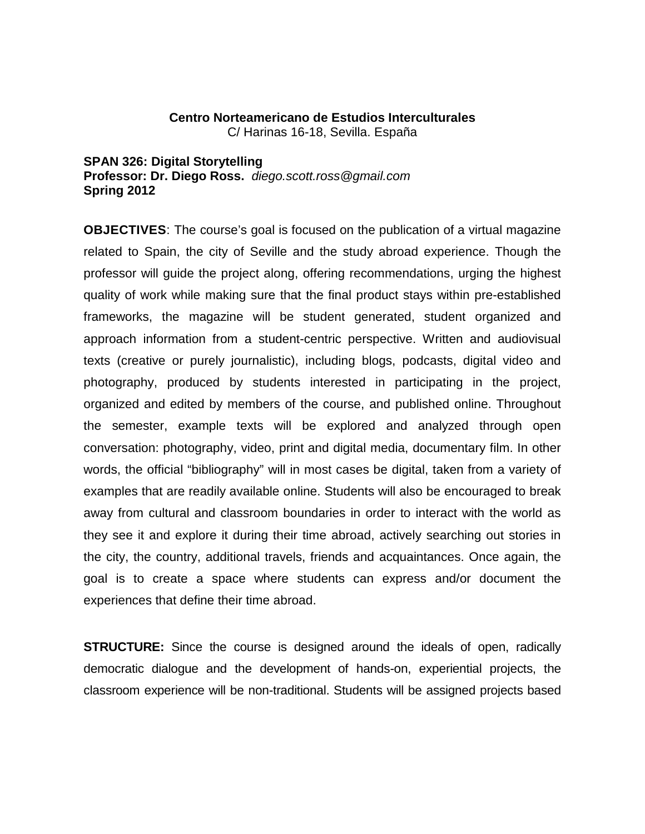## **Centro Norteamericano de Estudios Interculturales**

C/ Harinas 16-18, Sevilla. España

**SPAN 326: Digital Storytelling Professor: Dr. Diego Ross.** *diego.scott.ross@gmail.com* **Spring 2012**

**OBJECTIVES**: The course's goal is focused on the publication of a virtual magazine related to Spain, the city of Seville and the study abroad experience. Though the professor will guide the project along, offering recommendations, urging the highest quality of work while making sure that the final product stays within pre-established frameworks, the magazine will be student generated, student organized and approach information from a student-centric perspective. Written and audiovisual texts (creative or purely journalistic), including blogs, podcasts, digital video and photography, produced by students interested in participating in the project, organized and edited by members of the course, and published online. Throughout the semester, example texts will be explored and analyzed through open conversation: photography, video, print and digital media, documentary film. In other words, the official "bibliography" will in most cases be digital, taken from a variety of examples that are readily available online. Students will also be encouraged to break away from cultural and classroom boundaries in order to interact with the world as they see it and explore it during their time abroad, actively searching out stories in the city, the country, additional travels, friends and acquaintances. Once again, the goal is to create a space where students can express and/or document the experiences that define their time abroad.

**STRUCTURE:** Since the course is designed around the ideals of open, radically democratic dialogue and the development of hands-on, experiential projects, the classroom experience will be non-traditional. Students will be assigned projects based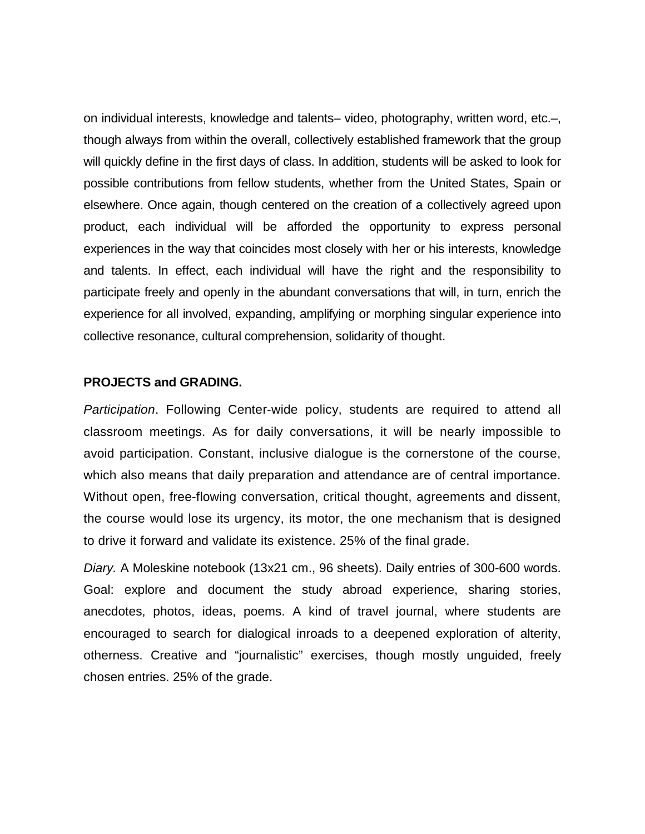on individual interests, knowledge and talents– video, photography, written word, etc.–, though always from within the overall, collectively established framework that the group will quickly define in the first days of class. In addition, students will be asked to look for possible contributions from fellow students, whether from the United States, Spain or elsewhere. Once again, though centered on the creation of a collectively agreed upon product, each individual will be afforded the opportunity to express personal experiences in the way that coincides most closely with her or his interests, knowledge and talents. In effect, each individual will have the right and the responsibility to participate freely and openly in the abundant conversations that will, in turn, enrich the experience for all involved, expanding, amplifying or morphing singular experience into collective resonance, cultural comprehension, solidarity of thought.

## **PROJECTS and GRADING.**

*Participation*. Following Center-wide policy, students are required to attend all classroom meetings. As for daily conversations, it will be nearly impossible to avoid participation. Constant, inclusive dialogue is the cornerstone of the course, which also means that daily preparation and attendance are of central importance. Without open, free-flowing conversation, critical thought, agreements and dissent, the course would lose its urgency, its motor, the one mechanism that is designed to drive it forward and validate its existence. 25% of the final grade.

*Diary.* A Moleskine notebook (13x21 cm., 96 sheets). Daily entries of 300-600 words. Goal: explore and document the study abroad experience, sharing stories, anecdotes, photos, ideas, poems. A kind of travel journal, where students are encouraged to search for dialogical inroads to a deepened exploration of alterity, otherness. Creative and "journalistic" exercises, though mostly unguided, freely chosen entries. 25% of the grade.